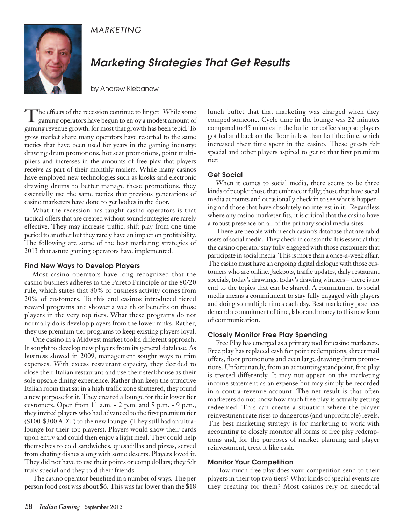# *MARKETING*



# *Marketing Strategies That Get Results*

by Andrew Klebanow

The effects of the recession continue to linger. While some gaming operators have begun to enjoy a modest amount of gaming revenue growth, for most that growth has been tepid. To grow market share many operators have resorted to the same tactics that have been used for years in the gaming industry: drawing drum promotions, hot seat promotions, point multipliers and increases in the amounts of free play that players receive as part of their monthly mailers. While many casinos have employed new technologies such as kiosks and electronic drawing drums to better manage these promotions, they essentially use the same tactics that previous generations of casino marketers have done to get bodies in the door.

What the recession has taught casino operators is that tactical offers that are created without sound strategies are rarely effective. They may increase traffic, shift play from one time period to another but they rarely have an impact on profitability. The following are some of the best marketing strategies of 2013 that astute gaming operators have implemented.

#### **Find New Ways to Develop Players**

Most casino operators have long recognized that the casino business adheres to the Pareto Principle or the 80/20 rule, which states that 80% of business activity comes from 20% of customers. To this end casinos introduced tiered reward programs and shower a wealth of benefits on those players in the very top tiers. What these programs do not normally do is develop players from the lower ranks. Rather, they use premium tier programs to keep existing players loyal.

One casino in a Midwest market took a different approach. It sought to develop new players from its general database. As business slowed in 2009, management sought ways to trim expenses. With excess restaurant capacity, they decided to close their Italian restaurant and use their steakhouse as their sole upscale dining experience. Rather than keep the attractive Italian room that sat in a high traffic zone shuttered, they found a new purpose for it. They created a lounge for their lower tier customers. Open from 11 a.m. - 2 p.m. and 5 p.m. - 9 p.m., they invited players who had advanced to the first premium tier (\$100-\$300 ADT) to the new lounge. (They still had an ultralounge for their top players). Players would show their cards upon entry and could then enjoy a light meal. They could help themselves to cold sandwiches, quesadillas and pizzas, served from chafing dishes along with some deserts. Players loved it. They did not have to use their points or comp dollars; they felt truly special and they told their friends.

The casino operator benefited in a number of ways. The per person food cost was about \$6. This was far lower than the \$18 lunch buffet that that marketing was charged when they comped someone. Cycle time in the lounge was 22 minutes compared to 45 minutes in the buffet or coffee shop so players got fed and back on the floor in less than half the time, which increased their time spent in the casino. These guests felt special and other players aspired to get to that first premium tier.

#### **Get Social**

When it comes to social media, there seems to be three kinds of people: those that embrace it fully; those that have social media accounts and occasionally check in to see what is happening and those that have absolutely no interest in it. Regardless where any casino marketer fits, it is critical that the casino have a robust presence on all of the primary social media sites.

There are people within each casino's database that are rabid users of social media. They check in constantly. It is essential that the casino operator stay fully engaged with those customers that participate in social media. This is more than a once-a-week affair. The casino must have an ongoing digital dialogue with those customers who are online.Jackpots, traffic updates, daily restaurant specials, today's drawings, today's drawing winners – there is no end to the topics that can be shared. A commitment to social media means a commitment to stay fully engaged with players and doing so multiple times each day. Best marketing practices demand a commitment of time, labor and money to this new form of communication.

## **Closely Monitor Free Play Spending**

Free Play has emerged as a primary tool for casino marketers. Free play has replaced cash for point redemptions, direct mail offers, floor promotions and even large drawing drum promotions. Unfortunately, from an accounting standpoint, free play is treated differently. It may not appear on the marketing income statement as an expense but may simply be recorded in a contra-revenue account. The net result is that often marketers do not know how much free play is actually getting redeemed. This can create a situation where the player reinvestment rate rises to dangerous (and unprofitable) levels. The best marketing strategy is for marketing to work with accounting to closely monitor all forms of free play redemptions and, for the purposes of market planning and player reinvestment, treat it like cash.

## **Monitor Your Competition**

How much free play does your competition send to their players in their top two tiers? What kinds of special events are they creating for them? Most casinos rely on anecdotal